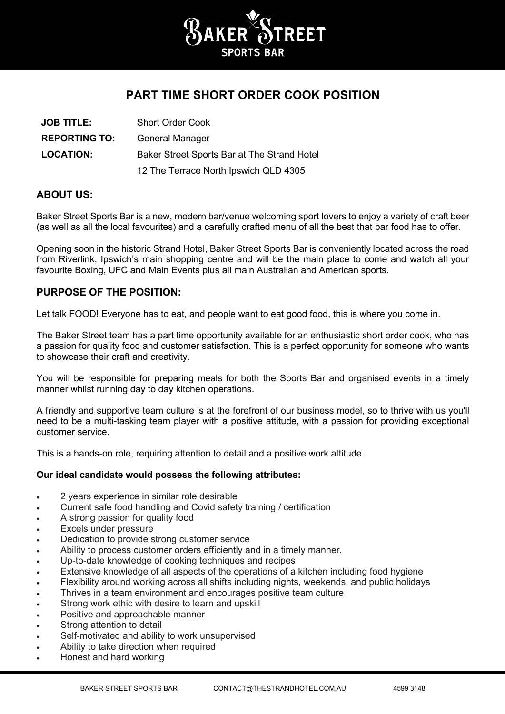

# **PART TIME SHORT ORDER COOK POSITION**

| <b>JOB TITLE:</b>    | <b>Short Order Cook</b>                     |
|----------------------|---------------------------------------------|
| <b>REPORTING TO:</b> | General Manager                             |
| <b>LOCATION:</b>     | Baker Street Sports Bar at The Strand Hotel |
|                      | 12 The Terrace North Ipswich QLD 4305       |

## **ABOUT US:**

Baker Street Sports Bar is a new, modern bar/venue welcoming sport lovers to enjoy a variety of craft beer (as well as all the local favourites) and a carefully crafted menu of all the best that bar food has to offer.

Opening soon in the historic Strand Hotel, Baker Street Sports Bar is conveniently located across the road from Riverlink, Ipswich's main shopping centre and will be the main place to come and watch all your favourite Boxing, UFC and Main Events plus all main Australian and American sports.

# **PURPOSE OF THE POSITION:**

Let talk FOOD! Everyone has to eat, and people want to eat good food, this is where you come in.

The Baker Street team has a part time opportunity available for an enthusiastic short order cook, who has a passion for quality food and customer satisfaction. This is a perfect opportunity for someone who wants to showcase their craft and creativity.

You will be responsible for preparing meals for both the Sports Bar and organised events in a timely manner whilst running day to day kitchen operations.

A friendly and supportive team culture is at the forefront of our business model, so to thrive with us you'll need to be a multi-tasking team player with a positive attitude, with a passion for providing exceptional customer service.

This is a hands-on role, requiring attention to detail and a positive work attitude.

#### **Our ideal candidate would possess the following attributes:**

- 2 years experience in similar role desirable
- Current safe food handling and Covid safety training / certification
- A strong passion for quality food
- Excels under pressure
- Dedication to provide strong customer service
- Ability to process customer orders efficiently and in a timely manner.
- Up-to-date knowledge of cooking techniques and recipes
- Extensive knowledge of all aspects of the operations of a kitchen including food hygiene
- Flexibility around working across all shifts including nights, weekends, and public holidays
- Thrives in a team environment and encourages positive team culture
- Strong work ethic with desire to learn and upskill
- Positive and approachable manner
- Strong attention to detail
- Self-motivated and ability to work unsupervised
- Ability to take direction when required
- Honest and hard working